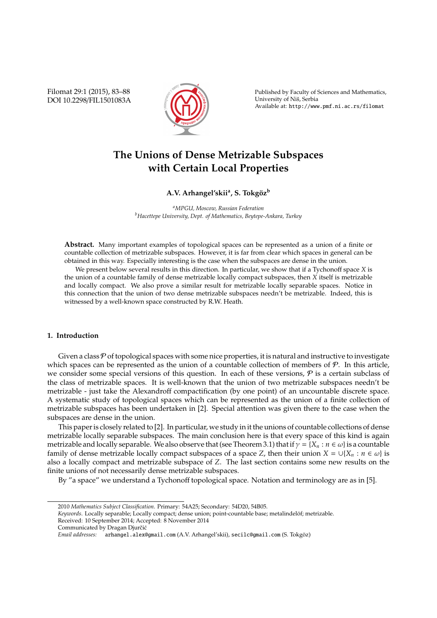Filomat 29:1 (2015), 83–88 DOI 10.2298/FIL1501083A



Published by Faculty of Sciences and Mathematics, University of Niš, Serbia Available at: http://www.pmf.ni.ac.rs/filomat

# **The Unions of Dense Metrizable Subspaces with Certain Local Properties**

# $\mathbf{A}.\mathbf{V}\mathbf{.}$  Arhangel'skiiª, S. Tokgöz $^{\textrm{b}}$

*<sup>a</sup>MPGU, Moscow, Russian Federation <sup>b</sup>Hacettepe University, Dept. of Mathematics, Beytepe-Ankara, Turkey*

**Abstract.** Many important examples of topological spaces can be represented as a union of a finite or countable collection of metrizable subspaces. However, it is far from clear which spaces in general can be obtained in this way. Especially interesting is the case when the subspaces are dense in the union.

We present below several results in this direction. In particular, we show that if a Tychonoff space *X* is the union of a countable family of dense metrizable locally compact subspaces, then *X* itself is metrizable and locally compact. We also prove a similar result for metrizable locally separable spaces. Notice in this connection that the union of two dense metrizable subspaces needn't be metrizable. Indeed, this is witnessed by a well-known space constructed by R.W. Heath.

## **1. Introduction**

Given a class  $P$  of topological spaces with some nice properties, it is natural and instructive to investigate which spaces can be represented as the union of a countable collection of members of  $\mathcal{P}$ . In this article, we consider some special versions of this question. In each of these versions,  $P$  is a certain subclass of the class of metrizable spaces. It is well-known that the union of two metrizable subspaces needn't be metrizable - just take the Alexandroff compactification (by one point) of an uncountable discrete space. A systematic study of topological spaces which can be represented as the union of a finite collection of metrizable subspaces has been undertaken in [2]. Special attention was given there to the case when the subspaces are dense in the union.

This paper is closely related to [2]. In particular, we study in it the unions of countable collections of dense metrizable locally separable subspaces. The main conclusion here is that every space of this kind is again metrizable and locally separable. We also observe that (see Theorem 3.1) that if  $\gamma = \{X_n : n \in \omega\}$  is a countable family of dense metrizable locally compact subspaces of a space *Z*, then their union  $X = \bigcup \{X_n : n \in \omega\}$  is also a locally compact and metrizable subspace of *Z*. The last section contains some new results on the finite unions of not necessarily dense metrizable subspaces.

By "a space" we understand a Tychonoff topological space. Notation and terminology are as in [5].

<sup>2010</sup> *Mathematics Subject Classification*. Primary: 54A25; Secondary: 54D20, 54B05.

Keywords. Locally separable; Locally compact; dense union; point-countable base; metalindelöf; metrizable.

Received: 10 September 2014; Accepted: 8 November 2014

Communicated by Dragan Djurčić

*Email addresses:* arhangel.alex@gmail.com (A.V. Arhangel'skii), secilc@gmail.com (S. Tokgoz) ¨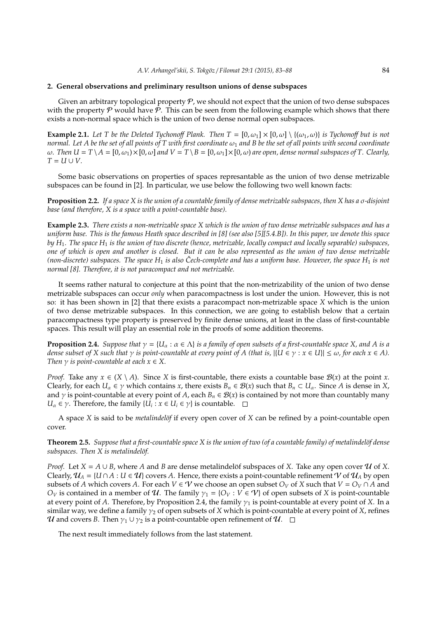### **2. General observations and preliminary resultson unions of dense subspaces**

Given an arbitrary topological property  $P$ , we should not expect that the union of two dense subspaces with the property  $P$  would have  $P$ . This can be seen from the following example which shows that there exists a non-normal space which is the union of two dense normal open subspaces.

**Example 2.1.** Let T be the Deleted Tychonoff Plank. Then  $T = [0, \omega_1] \times [0, \omega] \setminus \{(\omega_1, \omega)\}\$ is Tychonoff but is not *normal. Let A be the set of all points of T with first coordinate*  $\omega_1$  *and B be the set of all points with second coordinate* ω*. Then U* = *T* \*A* = [0, ω1)×[0, ω] *and V* = *T* \*B* = [0, ω1]×[0, ω) *are open, dense normal subspaces of T. Clearly,*  $T = U \cup V$ .

Some basic observations on properties of spaces represantable as the union of two dense metrizable subspaces can be found in [2]. In particular, we use below the following two well known facts:

**Proposition 2.2.** *If a space X is the union of a countable family of dense metrizable subspaces, then X has a* σ*-disjoint base (and therefore, X is a space with a point-countable base).*

**Example 2.3.** *There exists a non-metrizable space X which is the union of two dense metrizable subspaces and has a uniform base. This is the famous Heath space described in [8] (see also [5][5.4.B]). In this paper, we denote this space by H*1*. The space H*<sup>1</sup> *is the union of two discrete (hence, metrizable, locally compact and locally separable) subspaces, one of which is open and another is closed. But it can be also represented as the union of two dense metrizable (non-discrete) subspaces. The space*  $H_1$  *is also Čech-complete and has a uniform base. However, the space*  $H_1$  *is not normal [8]. Therefore, it is not paracompact and not metrizable.*

It seems rather natural to conjecture at this point that the non-metrizability of the union of two dense metrizable subspaces can occur *only* when paracompactness is lost under the union. However, this is not so: it has been shown in [2] that there exists a paracompact non-metrizable space *X* which is the union of two dense metrizable subspaces. In this connection, we are going to establish below that a certain paracompactness type property is preserved by finite dense unions, at least in the class of first-countable spaces. This result will play an essential role in the proofs of some addition theorems.

**Proposition 2.4.** *Suppose that*  $\gamma = \{U_\alpha : \alpha \in \Lambda\}$  *is a family of open subsets of a first-countable space X, and A is a dense subset of X such that*  $\gamma$  *is point-countable at every point of A (that is,*  $|\{U \in \gamma : x \in U\}| \leq \omega$ *, for each*  $x \in A$ ). *Then*  $\gamma$  *is point-countable at each*  $x \in X$ .

*Proof.* Take any  $x \in (X \setminus A)$ . Since *X* is first-countable, there exists a countable base  $B(x)$  at the point *x*. Clearly, for each  $U_\alpha \in \gamma$  which contains *x*, there exists  $B_n \in \mathcal{B}(x)$  such that  $B_n \subset U_\alpha$ . Since *A* is dense in *X*, and  $\gamma$  is point-countable at every point of *A*, each  $B_n \in \mathcal{B}(x)$  is contained by not more than countably many *U*<sub>α</sub>  $\in \gamma$ . Therefore, the family  $\{U_i : x \in U_i \in \gamma\}$  is countable.

A space *X* is said to be *metalindelöf* if every open cover of *X* can be refined by a point-countable open cover.

**Theorem 2.5.** *Suppose that a first-countable space X is the union of two (of a countable family) of metalindelöf dense* subspaces. Then X is metalindelöf.

*Proof.* Let  $X = A \cup B$ , where A and B are dense metalindelof subspaces of X. Take any open cover  $U$  of X. Clearly,  $\mathcal{U}_A = \{U \cap A : U \in \mathcal{U}\}\$ covers *A*. Hence, there exists a point-countable refinement  $V$  of  $\mathcal{U}_A$  by open subsets of *A* which covers *A*. For each  $V \in V$  we choose an open subset  $O_V$  of *X* such that  $V = O_V \cap A$  and *O*<sup>*V*</sup> is contained in a member of U. The family  $\gamma_1 = \{O_V : V \in V\}$  of open subsets of *X* is point-countable at every point of *A*. Therefore, by Proposition 2.4, the family  $\gamma_1$  is point-countable at every point of *X*. In a similar way, we define a family  $\gamma_2$  of open subsets of *X* which is point-countable at every point of *X*, refines *U* and covers *B*. Then  $\gamma_1 \cup \gamma_2$  is a point-countable open refinement of  $\mathcal{U}$ .  $\Box$ 

The next result immediately follows from the last statement.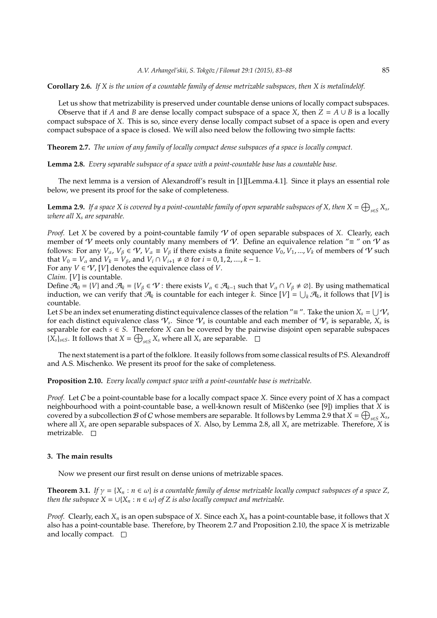#### **Corollary 2.6.** *If X is the union of a countable family of dense metrizable subspaces, then X is metalindelöf.*

Let us show that metrizability is preserved under countable dense unions of locally compact subspaces. Observe that if *A* and *B* are dense locally compact subspace of a space *X*, then  $Z = A \cup B$  is a locally compact subspace of *X*. This is so, since every dense locally compact subset of a space is open and every compact subspace of a space is closed. We will also need below the following two simple factts:

**Theorem 2.7.** *The union of any family of locally compact dense subspaces of a space is locally compact.*

**Lemma 2.8.** *Every separable subspace of a space with a point-countable base has a countable base.*

The next lemma is a version of Alexandroff's result in [1][Lemma.4.1]. Since it plays an essential role below, we present its proof for the sake of completeness.

**Lemma 2.9.** If a space X is covered by a point-countable family of open separable subspaces of X, then  $X = \bigoplus_{s \in S} X_s$ , *where all X<sup>s</sup> are separable.*

*Proof.* Let *X* be covered by a point-countable family  $\mathcal V$  of open separable subspaces of *X*. Clearly, each member of V meets only countably many members of V. Define an equivalence relation " $\equiv$  " on V as follows: For any  $V_\alpha$ ,  $V_\beta \in \mathcal{V}$ ,  $V_\alpha \equiv V_\beta$  if there exists a finite sequence  $V_0$ ,  $V_1$ , ...,  $V_k$  of members of  $\mathcal V$  such that *V*<sup>0</sup> = *V*<sup> $\alpha$ </sup> and *V*<sup> $k$ </sup> = *V*<sub> $\beta$ </sub>, and *V*<sup>*i*</sup> ∩ *V*<sub>*i*+1</sub>  $\neq \emptyset$  for *i* = 0, 1, 2, ...., *k* − 1.

For any  $V \in \mathcal{V}$ , [*V*] denotes the equivalence class of *V*.

*Claim*. [*V*] is countable.

Define  $\mathcal{A}_0 = \{V\}$  and  $\mathcal{A}_k = \{V_\beta \in \mathcal{V} : \text{there exists } V_\alpha \in \mathcal{A}_{k-1} \text{ such that } V_\alpha \cap V_\beta \neq \emptyset\}$ . By using mathematical induction, we can verify that  $\mathcal{A}_k$  is countable for each integer *k*. Since  $[V] = \bigcup_k \mathcal{A}_k$ , it follows that  $[V]$  is countable.

Let *S* be an index set enumerating distinct equivalence classes of the relation " $\equiv$  ". Take the union  $X_s = \bigcup \mathcal{V}_s$ for each distinct equivalence class  $\mathcal{V}_s$ . Since  $\mathcal{V}_s$  is countable and each member of  $\mathcal{V}_s$  is separable,  $X_s$  is separable for each  $s \in S$ . Therefore *X* can be covered by the pairwise disjoint open separable subspaces  $\{X_s\}_{s \in S}$ . It follows that  $X = \bigoplus_{s \in S} X_s$  where all  $X_s$  are separable.

The next statement is a part of the folklore. It easily follows from some classical results of P.S. Alexandroff and A.S. Mischenko. We present its proof for the sake of completeness.

## **Proposition 2.10.** *Every locally compact space with a point-countable base is metrizable.*

*Proof.* Let C be a point-countable base for a locally compact space *X*. Since every point of *X* has a compact neighbourhood with a point-countable base, a well-known result of Miščenko (see [9]) implies that X is covered by a subcollection B of C whose members are separable. It follows by Lemma 2.9 that  $X = \bigoplus_{s \in S} X_s$ , where all *X<sup>s</sup>* are open separable subspaces of *X*. Also, by Lemma 2.8, all *X<sup>s</sup>* are metrizable. Therefore, *X* is metrizable.  $\Box$ 

## **3. The main results**

Now we present our first result on dense unions of metrizable spaces.

**Theorem 3.1.** *If*  $\gamma = \{X_n : n \in \omega\}$  *is a countable family of dense metrizable locally compact subspaces of a space Z, then the subspace*  $X = \bigcup \{X_n : n \in \omega\}$  *of*  $Z$  *is also locally compact and metrizable.* 

*Proof.* Clearly, each *X<sup>n</sup>* is an open subspace of *X*. Since each *X<sup>n</sup>* has a point-countable base, it follows that *X* also has a point-countable base. Therefore, by Theorem 2.7 and Proposition 2.10, the space *X* is metrizable and locally compact.  $\square$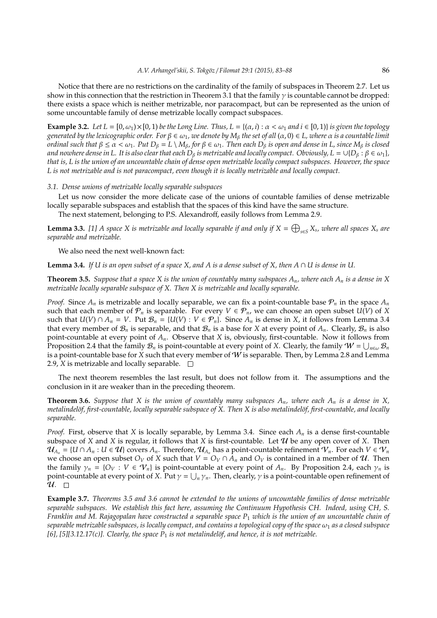Notice that there are no restrictions on the cardinality of the family of subspaces in Theorem 2.7. Let us show in this connection that the restriction in Theorem 3.1 that the family  $\gamma$  is countable cannot be dropped: there exists a space which is neither metrizable, nor paracompact, but can be represented as the union of some uncountable family of dense metrizable locally compact subspaces.

**Example 3.2.** Let  $L = [0, \omega_1) \times [0, 1]$  be the Long Line. Thus,  $L = \{(\alpha, i) : \alpha < \omega_1 \text{ and } i \in [0, 1]\}$  is given the topology *generated by the lexicographic order. For* β ∈ ω1*, we denote by M*<sup>β</sup> *the set of all* (α, 0) ∈ *L, where* α *is a countable limit ordinal such that*  $\beta \le \alpha < \omega_1$ *. Put*  $D_\beta = L \setminus M_\beta$ *, for*  $\beta \in \omega_1$ *. Then each*  $D_\beta$  *is open and dense in L, since*  $M_\beta$  *is closed and nowhere dense in L. It is also clear that each D<sub>β</sub> is metrizable and locally compact. Obviously, L* =  $\cup$ {*D<sub>β</sub>* :  $\beta \in \omega_1$ }*, that is, L is the union of an uncountable chain of dense open metrizable locally compact subspaces. However, the space L is not metrizable and is not paracompact, even though it is locally metrizable and locally compact.*

#### *3.1. Dense unions of metrizable locally separable subspaces*

Let us now consider the more delicate case of the unions of countable families of dense metrizable locally separable subspaces and establish that the spaces of this kind have the same structure.

The next statement, belonging to P.S. Alexandroff, easily follows from Lemma 2.9.

**Lemma 3.3.** [1] A space X is metrizable and locally separable if and only if  $X = \bigoplus_{s \in S} X_s$ , where all spaces  $X_s$  are *separable and metrizable.*

We also need the next well-known fact:

**Lemma 3.4.** *If U is an open subset of a space X, and A is a dense subset of X, then A*  $\cap$  *U is dense in U.* 

**Theorem 3.5.** *Suppose that a space X is the union of countably many subspaces*  $A_n$ *, where each*  $A_n$  *is a dense in* X *metrizable locally separable subspace of X. Then X is metrizable and locally separable.*

*Proof.* Since  $A_n$  is metrizable and locally separable, we can fix a point-countable base  $P_n$  in the space  $A_n$ such that each member of  $\mathcal{P}_n$  is separable. For every  $V \in \mathcal{P}_n$ , we can choose an open subset  $U(V)$  of X such that  $U(V) \cap A_n = V$ . Put  $\mathcal{B}_n = \{U(V) : V \in \mathcal{P}_n\}$ . Since  $A_n$  is dense in *X*, it follows from Lemma 3.4 that every member of  $\mathcal{B}_n$  is separable, and that  $\mathcal{B}_n$  is a base for *X* at every point of  $A_n$ . Clearly,  $\mathcal{B}_n$  is also point-countable at every point of *An*. Observe that *X* is, obviously, first-countable. Now it follows from Proposition 2.4 that the family  $\mathcal{B}_n$  is point-countable at every point of *X*. Clearly, the family  $W = \bigcup_{n \in \omega} \mathcal{B}_n$ is a point-countable base for *X* such that every member of *W* is separable. Then, by Lemma 2.8 and Lemma 2.9, *X* is metrizable and locally separable.  $\Box$ 

The next theorem resembles the last result, but does not follow from it. The assumptions and the conclusion in it are weaker than in the preceding theorem.

**Theorem 3.6.** *Suppose that* X *is the union of countably many subspaces*  $A_n$ *, where each*  $A_n$  *is a dense in* X, *metalindelöf, first-countable, locally separable subspace of X. Then X is also metalindelöf, first-countable, and locally separable.*

*Proof.* First, observe that *X* is locally separable, by Lemma 3.4. Since each *A<sup>n</sup>* is a dense first-countable subspace of *X* and *X* is regular, it follows that *X* is first-countable. Let  $U$  be any open cover of *X*. Then  $\mathcal{U}_{A_n} = \{U \cap A_n : U \in \mathcal{U}\}\$ covers  $A_n$ . Therefore,  $\mathcal{U}_{A_n}$  has a point-countable refinement  $\mathcal{V}_n$ . For each  $V \in \mathcal{V}_n$ we choose an open subset  $O_V$  of *X* such that  $V = O_V \cap A_n$  and  $O_V$  is contained in a member of  $U$ . Then the family  $\gamma_n = \{O_V : V \in V_n\}$  is point-countable at every point of  $A_n$ . By Proposition 2.4, each  $\gamma_n$  is point-countable at every point of *X*. Put  $\gamma = \bigcup_n \gamma_n$ . Then, clearly,  $\gamma$  is a point-countable open refinement of  $\mathcal{U}$ .  $\Box$ 

**Example 3.7.** *Theorems 3.5 and 3.6 cannot be extended to the unions of uncountable families of dense metrizable separable subspaces. We establish this fact here, assuming the Continuum Hypothesis CH. Indeed, using CH, S. Franklin and M. Rajagopalan have constructed a separable space P*<sup>1</sup> *which is the union of an uncountable chain of*  $s$ eparable metrizable subspaces, is locally compact, and contains a topological copy of the space  $\omega_1$  as a closed subspace [6], [5][3.12.17(c)]. Clearly, the space  $P_1$  is not metalindelöf, and hence, it is not metrizable.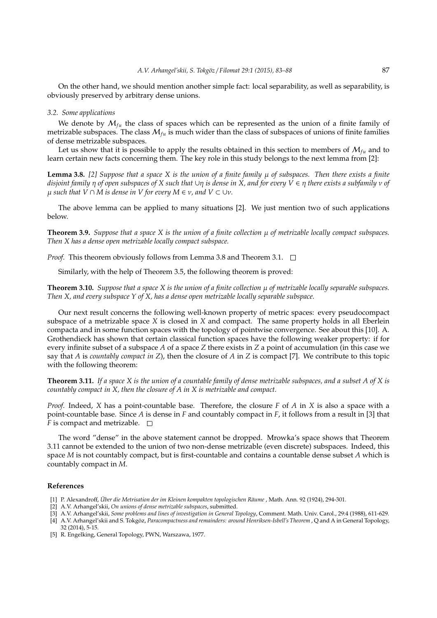On the other hand, we should mention another simple fact: local separability, as well as separability, is obviously preserved by arbitrary dense unions.

#### *3.2. Some applications*

We denote by  $M_{fu}$  the class of spaces which can be represented as the union of a finite family of metrizable subspaces. The class  $M_{fu}$  is much wider than the class of subspaces of unions of finite families of dense metrizable subspaces.

Let us show that it is possible to apply the results obtained in this section to members of  $M_{f\mu}$  and to learn certain new facts concerning them. The key role in this study belongs to the next lemma from [2]:

**Lemma 3.8.** *[2] Suppose that a space X is the union of a finite family* µ *of subspaces. Then there exists a finite disjoint family* η *of open subspaces of X such that* ∪η *is dense in X, and for every V* ∈ η *there exists a subfamily* ν *of*  $\mu$  *such that*  $V \cap M$  *is dense in*  $V$  *for every*  $M \in \nu$ *, and*  $V \subset \cup \nu$ *.* 

The above lemma can be applied to many situations [2]. We just mention two of such applications below.

**Theorem 3.9.** *Suppose that a space X is the union of a finite collection*  $\mu$  *of metrizable locally compact subspaces. Then X has a dense open metrizable locally compact subspace.*

*Proof.* This theorem obviously follows from Lemma 3.8 and Theorem 3.1.  $\Box$ 

Similarly, with the help of Theorem 3.5, the following theorem is proved:

**Theorem 3.10.** *Suppose that a space X is the union of a finite collection*  $\mu$  *of metrizable locally separable subspaces. Then X, and every subspace Y of X, has a dense open metrizable locally separable subspace.*

Our next result concerns the following well-known property of metric spaces: every pseudocompact subspace of a metrizable space *X* is closed in *X* and compact. The same property holds in all Eberlein compacta and in some function spaces with the topology of pointwise convergence. See about this [10]. A. Grothendieck has shown that certain classical function spaces have the following weaker property: if for every infinite subset of a subspace *A* of a space *Z* there exists in *Z* a point of accumulation (in this case we say that *A* is *countably compact in Z*), then the closure of *A* in *Z* is compact [7]. We contribute to this topic with the following theorem:

**Theorem 3.11.** *If a space X is the union of a countable family of dense metrizable subspaces, and a subset A of X is countably compact in X, then the closure of A in X is metrizable and compact.*

*Proof.* Indeed, *X* has a point-countable base. Therefore, the closure *F* of *A* in *X* is also a space with a point-countable base. Since *A* is dense in *F* and countably compact in *F*, it follows from a result in [3] that *F* is compact and metrizable.  $\Box$ 

The word "dense" in the above statement cannot be dropped. Mrowka's space shows that Theorem 3.11 cannot be extended to the union of two non-dense metrizable (even discrete) subspaces. Indeed, this space *M* is not countably compact, but is first-countable and contains a countable dense subset *A* which is countably compact in *M*.

## **References**

- [1] P. Alexandroff, *Über die Metrisation der im Kleinen kompakten topologischen Räume* , Math. Ann. 92 (1924), 294-301.
- [2] A.V. Arhangel'skii, *On unions of dense metrizable subspaces*, submitted.
- [3] A.V. Arhangel'skii, *Some problems and lines of investigation in General Topology*, Comment. Math. Univ. Carol., 29:4 (1988), 611-629. [4] A.V. Arhangel'skii and S. Tokgöz, Paracompactness and remainders: around Henriksen-Isbell's Theorem , Q and A in General Topology,
- 32 (2014), 5-15.
- [5] R. Engelking, General Topology, PWN, Warszawa, 1977.